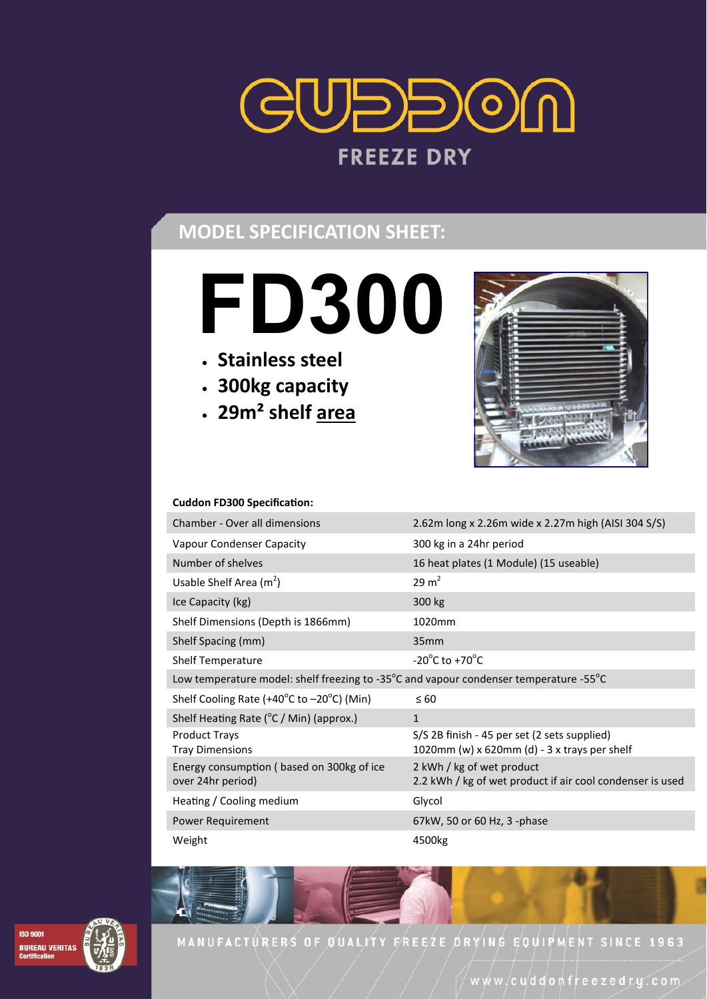

# **MODEL SPECIFICATION SHEET:**

- **FD300**
- **Stainless steel**
- **300kg capacity**
- **29m² shelf area**



#### **Cuddon FD300 Specification:**

| Chamber - Over all dimensions                                                         | 2.62m long x 2.26m wide x 2.27m high (AISI 304 S/S)                                          |
|---------------------------------------------------------------------------------------|----------------------------------------------------------------------------------------------|
| Vapour Condenser Capacity                                                             | 300 kg in a 24hr period                                                                      |
| Number of shelves                                                                     | 16 heat plates (1 Module) (15 useable)                                                       |
| Usable Shelf Area $(m^2)$                                                             | $29 \text{ m}^2$                                                                             |
| Ice Capacity (kg)                                                                     | 300 kg                                                                                       |
| Shelf Dimensions (Depth is 1866mm)                                                    | 1020mm                                                                                       |
| Shelf Spacing (mm)                                                                    | 35mm                                                                                         |
| <b>Shelf Temperature</b>                                                              | $-20^{\circ}$ C to $+70^{\circ}$ C                                                           |
| Low temperature model: shelf freezing to -35°C and vapour condenser temperature -55°C |                                                                                              |
| Shelf Cooling Rate (+40°C to −20°C) (Min)                                             | $\leq 60$                                                                                    |
| Shelf Heating Rate ( $\degree$ C / Min) (approx.)                                     | $\mathbf{1}$                                                                                 |
| <b>Product Trays</b><br><b>Tray Dimensions</b>                                        | S/S 2B finish - 45 per set (2 sets supplied)<br>1020mm (w) x 620mm (d) - 3 x trays per shelf |
| Energy consumption (based on 300kg of ice<br>over 24hr period)                        | 2 kWh / kg of wet product<br>2.2 kWh / kg of wet product if air cool condenser is used       |
| Heating / Cooling medium                                                              | Glycol                                                                                       |
| Power Requirement                                                                     | 67kW, 50 or 60 Hz, 3 -phase                                                                  |
| Weight                                                                                | 4500kg                                                                                       |



MANUFACTURERS OF QUALITY FREEZE DRYING EQUIPMENT SINCE 1963

www/cuddonfreezedry.com